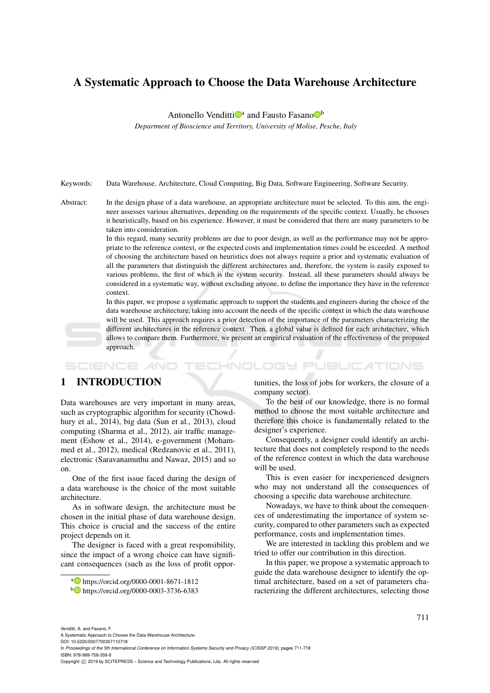# A Systematic Approach to Choose the Data Warehouse Architecture

Antonello Venditti<sup>n</sup><sup>a</sup> and Fausto Fasano<sup>n</sup>

*Department of Bioscience and Territory, University of Molise, Pesche, Italy*

Keywords: Data Warehouse, Architecture, Cloud Computing, Big Data, Software Engineering, Software Security.

Abstract: In the design phase of a data warehouse, an appropriate architecture must be selected. To this aim, the engineer assesses various alternatives, depending on the requirements of the specific context. Usually, he chooses it heuristically, based on his experience. However, it must be considered that there are many parameters to be taken into consideration.

> In this regard, many security problems are due to poor design, as well as the performance may not be appropriate to the reference context, or the expected costs and implementation times could be exceeded. A method of choosing the architecture based on heuristics does not always require a prior and systematic evaluation of all the parameters that distinguish the different architectures and, therefore, the system is easily exposed to various problems, the first of which is the system security. Instead, all these parameters should always be considered in a systematic way, without excluding anyone, to define the importance they have in the reference context.

> In this paper, we propose a systematic approach to support the students and engineers during the choice of the data warehouse architecture, taking into account the needs of the specific context in which the data warehouse will be used. This approach requires a prior detection of the importance of the parameters characterizing the different architectures in the reference context. Then, a global value is defined for each architecture, which allows to compare them. Furthermore, we present an empirical evaluation of the effectiveness of the proposed approach.

#### **SCIENCE AND** HNOLOGY PUBLICATIONS

# 1 INTRODUCTION

Data warehouses are very important in many areas, such as cryptographic algorithm for security (Chowdhury et al., 2014), big data (Sun et al., 2013), cloud computing (Sharma et al., 2012), air traffic management (Eshow et al., 2014), e-government (Mohammed et al., 2012), medical (Redzanovic et al., 2011), electronic (Saravanamuthu and Nawaz, 2015) and so on.

One of the first issue faced during the design of a data warehouse is the choice of the most suitable architecture.

As in software design, the architecture must be chosen in the initial phase of data warehouse design. This choice is crucial and the success of the entire project depends on it.

The designer is faced with a great responsibility, since the impact of a wrong choice can have significant consequences (such as the loss of profit opportunities, the loss of jobs for workers, the closure of a company sector).

To the best of our knowledge, there is no formal method to choose the most suitable architecture and therefore this choice is fundamentally related to the designer's experience.

Consequently, a designer could identify an architecture that does not completely respond to the needs of the reference context in which the data warehouse will be used.

This is even easier for inexperienced designers who may not understand all the consequences of choosing a specific data warehouse architecture.

Nowadays, we have to think about the consequences of underestimating the importance of system security, compared to other parameters such as expected performance, costs and implementation times.

We are interested in tackling this problem and we tried to offer our contribution in this direction.

In this paper, we propose a systematic approach to guide the data warehouse designer to identify the optimal architecture, based on a set of parameters characterizing the different architectures, selecting those

Venditti, A. and Fasano, F.

A Systematic Approach to Choose the Data Warehouse Architecture.

DOI: 10.5220/0007700307110718

In *Proceedings of the 5th International Conference on Information Systems Security and Privacy (ICISSP 2019)*, pages 711-718 ISBN: 978-989-758-359-9

Copyright © 2019 by SCITEPRESS - Science and Technology Publications, Lda. All rights reserved

<sup>a</sup> https://orcid.org/0000-0001-8671-1812

<sup>b</sup> https://orcid.org/0000-0003-3736-6383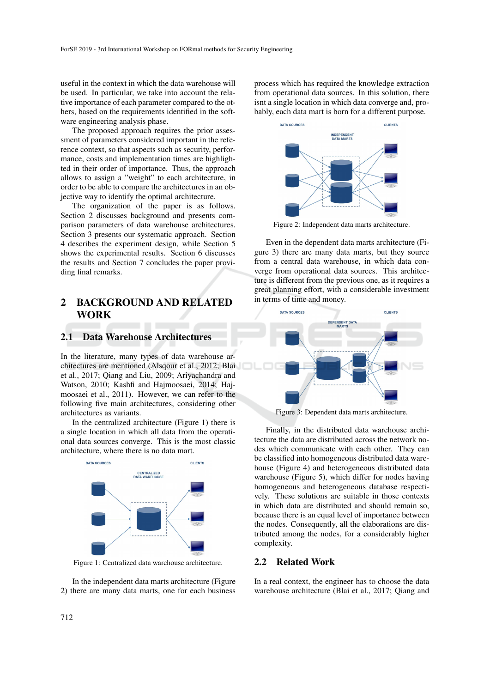useful in the context in which the data warehouse will be used. In particular, we take into account the relative importance of each parameter compared to the others, based on the requirements identified in the software engineering analysis phase.

The proposed approach requires the prior assessment of parameters considered important in the reference context, so that aspects such as security, performance, costs and implementation times are highlighted in their order of importance. Thus, the approach allows to assign a "weight" to each architecture, in order to be able to compare the architectures in an objective way to identify the optimal architecture.

The organization of the paper is as follows. Section 2 discusses background and presents comparison parameters of data warehouse architectures. Section 3 presents our systematic approach. Section 4 describes the experiment design, while Section 5 shows the experimental results. Section 6 discusses the results and Section 7 concludes the paper providing final remarks.

# 2 BACKGROUND AND RELATED **WORK**

#### 2.1 Data Warehouse Architectures

In the literature, many types of data warehouse architectures are mentioned (Alsqour et al., 2012; Blai et al., 2017; Qiang and Liu, 2009; Ariyachandra and Watson, 2010; Kashfi and Hajmoosaei, 2014; Hajmoosaei et al., 2011). However, we can refer to the following five main architectures, considering other architectures as variants.

In the centralized architecture (Figure 1) there is a single location in which all data from the operational data sources converge. This is the most classic architecture, where there is no data mart.



Figure 1: Centralized data warehouse architecture.

In the independent data marts architecture (Figure 2) there are many data marts, one for each business process which has required the knowledge extraction from operational data sources. In this solution, there isnt a single location in which data converge and, probably, each data mart is born for a different purpose.



Figure 2: Independent data marts architecture.

Even in the dependent data marts architecture (Figure 3) there are many data marts, but they source from a central data warehouse, in which data converge from operational data sources. This architecture is different from the previous one, as it requires a great planning effort, with a considerable investment in terms of time and money.



Figure 3: Dependent data marts architecture.

Finally, in the distributed data warehouse architecture the data are distributed across the network nodes which communicate with each other. They can be classified into homogeneous distributed data warehouse (Figure 4) and heterogeneous distributed data warehouse (Figure 5), which differ for nodes having homogeneous and heterogeneous database respectively. These solutions are suitable in those contexts in which data are distributed and should remain so, because there is an equal level of importance between the nodes. Consequently, all the elaborations are distributed among the nodes, for a considerably higher complexity.

#### 2.2 Related Work

In a real context, the engineer has to choose the data warehouse architecture (Blai et al., 2017; Qiang and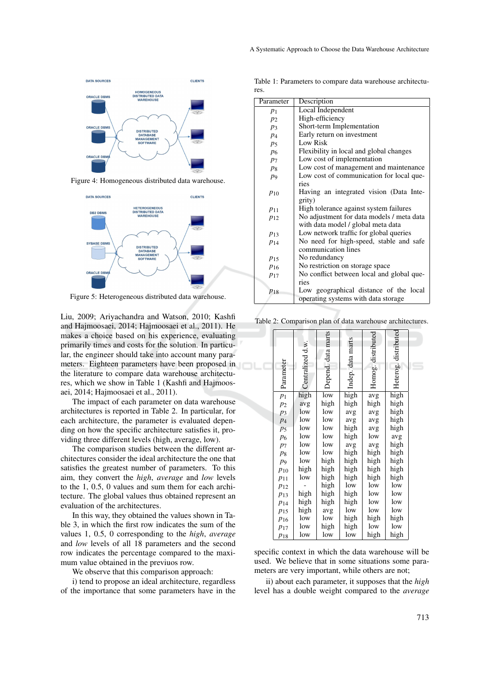

Figure 4: Homogeneous distributed data warehouse.



Figure 5: Heterogeneous distributed data warehouse.

Liu, 2009; Ariyachandra and Watson, 2010; Kashfi and Hajmoosaei, 2014; Hajmoosaei et al., 2011). He makes a choice based on his experience, evaluating primarily times and costs for the solution. In particular, the engineer should take into account many parameters. Eighteen parameters have been proposed in the literature to compare data warehouse architectures, which we show in Table 1 (Kashfi and Hajmoosaei, 2014; Hajmoosaei et al., 2011).

The impact of each parameter on data warehouse architectures is reported in Table 2. In particular, for each architecture, the parameter is evaluated depending on how the specific architecture satisfies it, providing three different levels (high, average, low).

The comparison studies between the different architectures consider the ideal architecture the one that satisfies the greatest number of parameters. To this aim, they convert the *high*, *average* and *low* levels to the 1, 0.5, 0 values and sum them for each architecture. The global values thus obtained represent an evaluation of the architectures.

In this way, they obtained the values shown in Table 3, in which the first row indicates the sum of the values 1, 0.5, 0 corresponding to the *high*, *average* and *low* levels of all 18 parameters and the second row indicates the percentage compared to the maximum value obtained in the previuos row.

We observe that this comparison approach:

i) tend to propose an ideal architecture, regardless of the importance that some parameters have in the

Table 1: Parameters to compare data warehouse architectures.

| Parameter      | Description                               |
|----------------|-------------------------------------------|
| $p_1$          | Local Independent                         |
| $p_2$          | High-efficiency                           |
| $p_3$          | Short-term Implementation                 |
| $p_4$          | Early return on investment                |
| $p_5$          | Low Risk                                  |
| p <sub>6</sub> | Flexibility in local and global changes   |
| $p_7$          | Low cost of implementation                |
| $p_8$          | Low cost of management and maintenance    |
| $p_9$          | Low cost of communication for local que-  |
|                | ries                                      |
| $p_{10}$       | Having an integrated vision (Data Inte-   |
|                | grity)                                    |
| $p_{11}$       | High tolerance against system failures    |
| $p_{12}$       | No adjustment for data models / meta data |
|                | with data model / global meta data        |
| $p_{13}$       | Low network traffic for global queries    |
| $p_{14}$       | No need for high-speed, stable and safe   |
|                | communication lines                       |
| $p_{15}$       | No redundancy                             |
| $p_{16}$       | No restriction on storage space           |
| $p_{17}$       | No conflict between local and global que- |
|                | ries                                      |
| $p_{18}$       | Low geographical distance of the local    |
|                | operating systems with data storage       |
|                |                                           |

Table 2: Comparison plan of data warehouse architectures.

|                |                  | Depend. data marts |                   | Homog. distributed | distributed |  |
|----------------|------------------|--------------------|-------------------|--------------------|-------------|--|
|                | Centralized d.w. |                    | Indep. data marts |                    |             |  |
|                |                  |                    |                   |                    |             |  |
|                |                  |                    |                   |                    |             |  |
|                |                  |                    |                   |                    |             |  |
| Parameter      |                  |                    |                   |                    | Heterog.    |  |
|                | high             | low                | high              | avg                | high        |  |
| $p_1$          | avg              | high               | high              | high               | high        |  |
| $p_2$<br>$p_3$ | low              | low                | avg               | avg                | high        |  |
| $p_4$          | low              | low                | avg               | avg                | high        |  |
| p <sub>5</sub> | low              | low                | high              | avg                | high        |  |
| $p_6$          | low              | low                | high              | low                | avg         |  |
| $p_7$          | low              | low                | avg               | avg                | high        |  |
| $p_8$          | low              | low                | high              | high               | high        |  |
| p <sub>9</sub> | low              | high               | high              | high               | high        |  |
| $p_{10}$       | high             | high               | high              | high               | high        |  |
| $p_{11}$       | low              | high               | high              | high               | high        |  |
| $p_{12}$       |                  | high               | low               | low                | low         |  |
| $p_{13}$       | high             | high               | high              | low                | low         |  |
| $p_{14}$       | high             | high               | high              | low                | low         |  |
| $p_{15}$       | high             | avg                | low               | low                | low         |  |
| $p_{16}$       | low              | low                | high              | high               | high        |  |
| $p_{17}$       | low              | high               | high              | low                | low         |  |
| $p_{18}$       | low              | low                | low               | high               | high        |  |

specific context in which the data warehouse will be used. We believe that in some situations some parameters are very important, while others are not;

ii) about each parameter, it supposes that the *high* level has a double weight compared to the *average*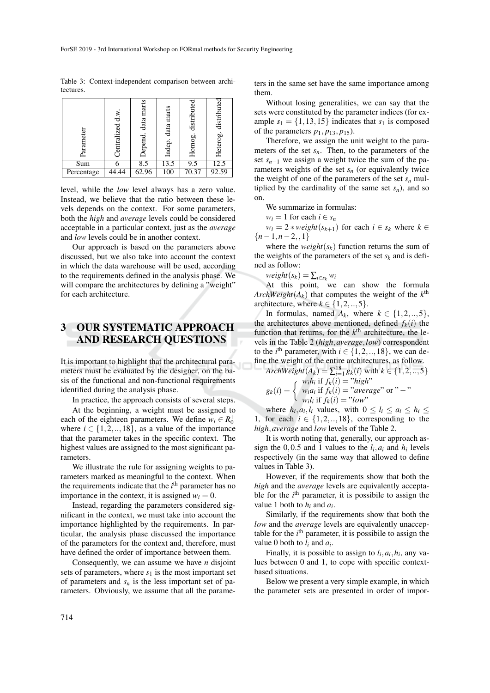Table 3: Context-independent comparison between architectures.

| Parameter  | Centralized d.w. | Depend. data marts | data marts<br>Indep. | distributed<br>Homog. | distribute<br>Heterog. |
|------------|------------------|--------------------|----------------------|-----------------------|------------------------|
| Sum        |                  | 8.5                | 13.5                 | 9.5                   | 12.5                   |
| Percentage |                  | 62.96              | 100                  | 70.37                 | 92.59                  |

level, while the *low* level always has a zero value. Instead, we believe that the ratio between these levels depends on the context. For some parameters, both the *high* and *average* levels could be considered acceptable in a particular context, just as the *average* and *low* levels could be in another context.

Our approach is based on the parameters above discussed, but we also take into account the context in which the data warehouse will be used, according to the requirements defined in the analysis phase. We will compare the architectures by defining a "weight" for each architecture.

# 3 OUR SYSTEMATIC APPROACH AND RESEARCH QUESTIONS

It is important to highlight that the architectural parameters must be evaluated by the designer, on the basis of the functional and non-functional requirements identified during the analysis phase.

In practice, the approach consists of several steps.

At the beginning, a weight must be assigned to each of the eighteen parameters. We define  $w_i \in R_0^+$ where  $i \in \{1, 2, \ldots, 18\}$ , as a value of the importance that the parameter takes in the specific context. The highest values are assigned to the most significant parameters.

We illustrate the rule for assigning weights to parameters marked as meaningful to the context. When the requirements indicate that the *i*<sup>th</sup> parameter has no importance in the context, it is assigned  $w_i = 0$ .

Instead, regarding the parameters considered significant in the context, we must take into account the importance highlighted by the requirements. In particular, the analysis phase discussed the importance of the parameters for the context and, therefore, must have defined the order of importance between them.

Consequently, we can assume we have *n* disjoint sets of parameters, where  $s_1$  is the most important set of parameters and  $s_n$  is the less important set of parameters. Obviously, we assume that all the parameters in the same set have the same importance among them.

Without losing generalities, we can say that the sets were constituted by the parameter indices (for example  $s_1 = \{1, 13, 15\}$  indicates that  $s_1$  is composed of the parameters  $p_1$ ,  $p_{13}$ ,  $p_{15}$ ).

Therefore, we assign the unit weight to the parameters of the set *sn*. Then, to the parameters of the set *sn*−<sup>1</sup> we assign a weight twice the sum of the parameters weights of the set  $s_n$  (or equivalently twice the weight of one of the parameters of the set  $s_n$  multiplied by the cardinality of the same set  $s_n$ ), and so on.

We summarize in formulas:

 $w_i = 1$  for each  $i \in s_n$ 

 $w_i = 2 * weight(s_{k+1})$  for each  $i \in s_k$  where  $k \in$ {*n*−1,*n*−2,,1}

where the *weight* $(s_k)$  function returns the sum of the weights of the parameters of the set  $s_k$  and is defined as follow:

 $weight(s_k) = \sum_{i \in s_k} w_i$ 

At this point, we can show the formula *ArchWeight* $(A_k)$  that computes the weight of the  $k^{\text{th}}$ architecture, where  $k \in \{1, 2, \ldots, 5\}$ .

In formulas, named  $A_k$ , where  $k \in \{1, 2, \ldots, 5\}$ , the architectures above mentioned, defined  $f_k(i)$  the function that returns, for the  $k<sup>th</sup>$  architecture, the levels in the Table 2 (*high*,*average*,*low*) correspondent to the  $i^{\text{th}}$  parameter, with  $i \in \{1, 2, \ldots, 18\}$ , we can define the weight of the entire architectures, as follow.

*ArchWeight* $(A_k) = \sum_{i=1}^{18} g_k(i)$  with  $k \in \{1, 2, ..., 5\}$  $g_k(i) = \begin{cases} w_i h_i \text{ if } f_k(i) = "high" \\ w_i a_i \text{ if } f_k(i) = "average" \end{cases}$ 

$$
g_k(i) = \left\{ \begin{array}{l} w_i a_i \text{ if } f_k(i) = "average" \text{ or } " - "\\ w_i l_i \text{ if } f_k(i) = "low" \end{array} \right.
$$

where  $h_i, a_i, l_i$  values, with  $0 \le l_i \le a_i \le h_i \le$ 1, for each  $i \in \{1, 2, \ldots, 18\}$ , corresponding to the *high*,*average* and *low* levels of the Table 2.

It is worth noting that, generally, our approach assign the 0,0.5 and 1 values to the  $l_i$ ,  $a_i$  and  $h_i$  levels respectively (in the same way that allowed to define values in Table 3).

However, if the requirements show that both the *high* and the *average* levels are equivalently acceptable for the  $i<sup>th</sup>$  parameter, it is possibile to assign the value 1 both to  $h_i$  and  $a_i$ .

Similarly, if the requirements show that both the *low* and the *average* levels are equivalently unacceptable for the *i*<sup>th</sup> parameter, it is possibile to assign the value 0 both to  $l_i$  and  $a_i$ .

Finally, it is possible to assign to  $l_i$ ,  $a_i$ ,  $h_i$ , any values between 0 and 1, to cope with specific contextbased situations.

Below we present a very simple example, in which the parameter sets are presented in order of impor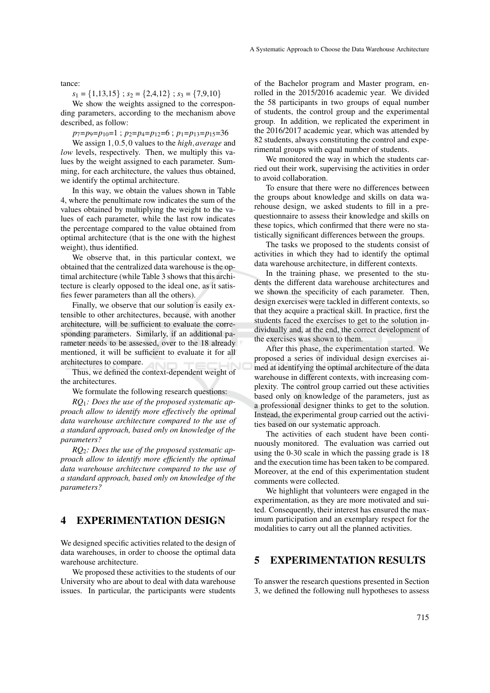tance:

 $s_1 = \{1, 13, 15\}$ ;  $s_2 = \{2, 4, 12\}$ ;  $s_3 = \{7, 9, 10\}$ 

We show the weights assigned to the corresponding parameters, according to the mechanism above described, as follow:

*p*7=*p*9=*p*10=1 ; *p*2=*p*4=*p*12=6 ; *p*1=*p*13=*p*15=36

We assign 1,0.5,0 values to the *high*,*average* and *low* levels, respectively. Then, we multiply this values by the weight assigned to each parameter. Summing, for each architecture, the values thus obtained, we identify the optimal architecture.

In this way, we obtain the values shown in Table 4, where the penultimate row indicates the sum of the values obtained by multiplying the weight to the values of each parameter, while the last row indicates the percentage compared to the value obtained from optimal architecture (that is the one with the highest weight), thus identified.

We observe that, in this particular context, we obtained that the centralized data warehouse is the optimal architecture (while Table 3 shows that this architecture is clearly opposed to the ideal one, as it satisfies fewer parameters than all the others).

Finally, we observe that our solution is easily extensible to other architectures, because, with another architecture, will be sufficient to evaluate the corresponding parameters. Similarly, if an additional parameter needs to be assessed, over to the 18 already mentioned, it will be sufficient to evaluate it for all architectures to compare.

Thus, we defined the context-dependent weight of the architectures.

We formulate the following research questions:

*RQ*1*: Does the use of the proposed systematic approach allow to identify more effectively the optimal data warehouse architecture compared to the use of a standard approach, based only on knowledge of the parameters?*

*RQ*2*: Does the use of the proposed systematic approach allow to identify more efficiently the optimal data warehouse architecture compared to the use of a standard approach, based only on knowledge of the parameters?*

# 4 EXPERIMENTATION DESIGN

We designed specific activities related to the design of data warehouses, in order to choose the optimal data warehouse architecture.

We proposed these activities to the students of our University who are about to deal with data warehouse issues. In particular, the participants were students

of the Bachelor program and Master program, enrolled in the 2015/2016 academic year. We divided the 58 participants in two groups of equal number of students, the control group and the experimental group. In addition, we replicated the experiment in the 2016/2017 academic year, which was attended by 82 students, always constituting the control and experimental groups with equal number of students.

We monitored the way in which the students carried out their work, supervising the activities in order to avoid collaboration.

To ensure that there were no differences between the groups about knowledge and skills on data warehouse design, we asked students to fill in a prequestionnaire to assess their knowledge and skills on these topics, which confirmed that there were no statistically significant differences between the groups.

The tasks we proposed to the students consist of activities in which they had to identify the optimal data warehouse architecture, in different contexts.

In the training phase, we presented to the students the different data warehouse architectures and we shown the specificity of each parameter. Then, design exercises were tackled in different contexts, so that they acquire a practical skill. In practice, first the students faced the exercises to get to the solution individually and, at the end, the correct development of the exercises was shown to them.

After this phase, the experimentation started. We proposed a series of individual design exercises aimed at identifying the optimal architecture of the data warehouse in different contexts, with increasing complexity. The control group carried out these activities based only on knowledge of the parameters, just as a professional designer thinks to get to the solution. Instead, the experimental group carried out the activities based on our systematic approach.

The activities of each student have been continuously monitored. The evaluation was carried out using the 0-30 scale in which the passing grade is 18 and the execution time has been taken to be compared. Moreover, at the end of this experimentation student comments were collected.

We highlight that volunteers were engaged in the experimentation, as they are more motivated and suited. Consequently, their interest has ensured the maximum participation and an exemplary respect for the modalities to carry out all the planned activities.

## 5 EXPERIMENTATION RESULTS

To answer the research questions presented in Section 3, we defined the following null hypotheses to assess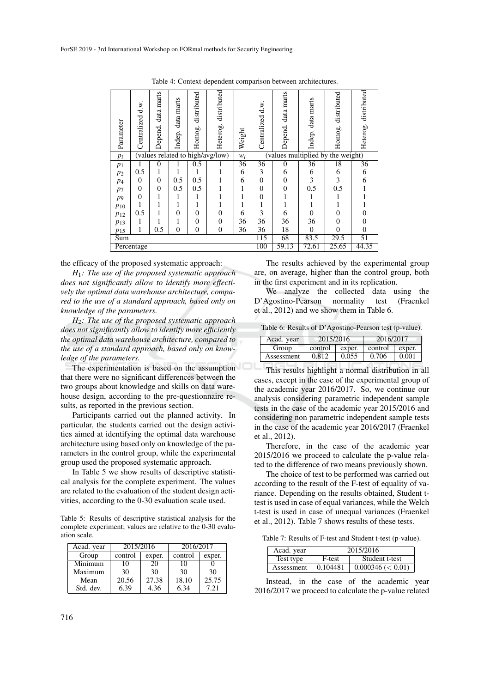| Parameter  | Centralized d.w.                 | marts<br>data j<br>Depend. | data marts<br>Indep. | distributed<br>Homog. | distributed<br>Heterog. | Weight                            | Centralized d.w. | data marts<br>Depend. | data marts<br>Indep. | distributed<br>Homog. | distributed<br>Heterog. |
|------------|----------------------------------|----------------------------|----------------------|-----------------------|-------------------------|-----------------------------------|------------------|-----------------------|----------------------|-----------------------|-------------------------|
| $p_i$      | (values related to high/avg/low) |                            |                      |                       | $W_i$                   | (values multiplied by the weight) |                  |                       |                      |                       |                         |
| $p_1$      | 1                                | $\theta$                   |                      | 0.5                   |                         | 36                                | 36               | $\theta$              | 36                   | 18                    | 36                      |
| $p_2$      | 0.5                              | 1                          |                      |                       |                         | 6                                 | 3                | 6                     | 6                    | 6                     | 6                       |
| $p_4$      | $\mathbf{0}$                     | $\theta$                   | 0.5                  | 0.5                   |                         | 6                                 | $\overline{0}$   | $\theta$              | 3                    | 3                     | 6                       |
| $p_7$      | $\overline{0}$                   | $\theta$                   | 0.5                  | 0.5                   |                         | 1                                 | $\overline{0}$   | $\theta$              | 0.5                  | 0.5                   |                         |
| p9         | $\overline{0}$                   | 1                          | 1                    | 1                     |                         |                                   | $\overline{0}$   |                       |                      |                       |                         |
| $p_{10}$   |                                  |                            |                      | 1                     |                         |                                   |                  |                       |                      |                       |                         |
| $p_{12}$   | 0.5                              |                            | 0                    | $\overline{0}$        | $\overline{0}$          | 6                                 | 3                | 6                     | $\theta$             | 0                     | 0                       |
| $p_{13}$   | 1                                |                            |                      | $\overline{0}$        | $\overline{0}$          | 36                                | 36               | 36                    | 36                   | 0                     | 0                       |
| $p_{15}$   | 1                                | 0.5                        | $\overline{0}$       | $\overline{0}$        | $\theta$                | 36                                | 36               | 18                    | $\overline{0}$       | $\overline{0}$        | $\overline{0}$          |
| Sum        |                                  |                            |                      |                       |                         |                                   | $\overline{115}$ | 68                    | 83.5                 | 29.5                  | 51                      |
| Percentage |                                  |                            |                      |                       |                         |                                   | 100              | 59.13                 | 72.61                | 25.65                 | 44.35                   |

Table 4: Context-dependent comparison between architectures.

the efficacy of the proposed systematic approach:

*H*1*: The use of the proposed systematic approach does not significantly allow to identify more effectively the optimal data warehouse architecture, compared to the use of a standard approach, based only on knowledge of the parameters.*

*H*2*: The use of the proposed systematic approach does not significantly allow to identify more efficiently the optimal data warehouse architecture, compared to the use of a standard approach, based only on knowledge of the parameters.*

The experimentation is based on the assumption that there were no significant differences between the two groups about knowledge and skills on data warehouse design, according to the pre-questionnaire results, as reported in the previous section.

Participants carried out the planned activity. In particular, the students carried out the design activities aimed at identifying the optimal data warehouse architecture using based only on knowledge of the parameters in the control group, while the experimental group used the proposed systematic approach.

In Table 5 we show results of descriptive statistical analysis for the complete experiment. The values are related to the evaluation of the student design activities, according to the 0-30 evaluation scale used.

Table 5: Results of descriptive statistical analysis for the complete experiment; values are relative to the 0-30 evaluation scale.

| Acad. year | 2015/2016         |       | 2016/2017 |        |
|------------|-------------------|-------|-----------|--------|
| Group      | control<br>exper. |       | control   | exper. |
| Minimum    | 10                | 20    | 10        |        |
| Maximum    | 30                | 30    | 30        | 30     |
| Mean       | 20.56             | 27.38 | 18.10     | 25.75  |
| Std. dev.  | 6.39              | 4.36  | 6.34      | 7.21   |

The results achieved by the experimental group are, on average, higher than the control group, both in the first experiment and in its replication.

We analyze the collected data using the<br>Agostino-Pearson normality test (Fraenkel D'Agostino-Pearson normality test et al., 2012) and we show them in Table 6.

Table 6: Results of D'Agostino-Pearson test (p-value).

| Acad. year | 2015/2016         |       | 2016/2017          |       |
|------------|-------------------|-------|--------------------|-------|
| Group      | control<br>exper. |       | $control$   exper. |       |
| Assessment | 0.812             | 0.055 | 0.706              | 0.001 |

This results highlight a normal distribution in all cases, except in the case of the experimental group of the academic year 2016/2017. So, we continue our analysis considering parametric independent sample tests in the case of the academic year 2015/2016 and considering non parametric independent sample tests in the case of the academic year 2016/2017 (Fraenkel et al., 2012).

Therefore, in the case of the academic year 2015/2016 we proceed to calculate the p-value related to the difference of two means previously shown.

The choice of test to be performed was carried out according to the result of the F-test of equality of variance. Depending on the results obtained, Student ttest is used in case of equal variances, while the Welch t-test is used in case of unequal variances (Fraenkel et al., 2012). Table 7 shows results of these tests.

Table 7: Results of F-test and Student t-test (p-value).

| Acad. year | 2015/2016                |                      |  |  |  |
|------------|--------------------------|----------------------|--|--|--|
| Test type  | Student t-test<br>F-test |                      |  |  |  |
| Assessment | 0.104481                 | $0.000346 \leq 0.01$ |  |  |  |

Instead, in the case of the academic year 2016/2017 we proceed to calculate the p-value related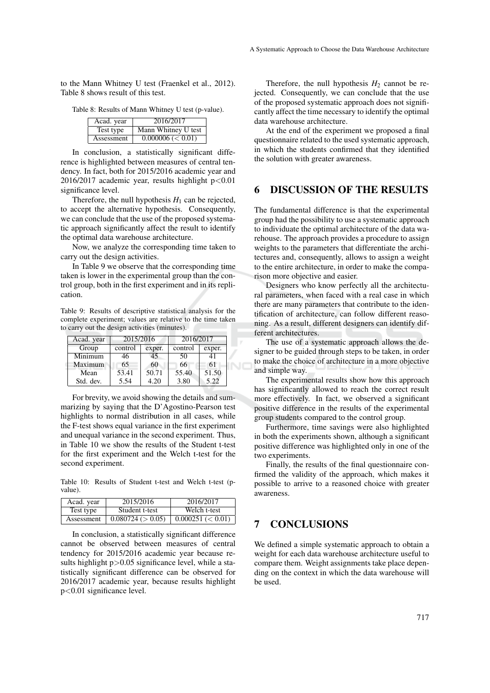to the Mann Whitney U test (Fraenkel et al., 2012). Table 8 shows result of this test.

Table 8: Results of Mann Whitney U test (p-value).

| Acad. year | 2016/2017              |
|------------|------------------------|
| Test type  | Mann Whitney U test    |
| Assessment | $0.000006 \, (< 0.01)$ |

In conclusion, a statistically significant difference is highlighted between measures of central tendency. In fact, both for 2015/2016 academic year and 2016/2017 academic year, results highlight  $p<0.01$ significance level.

Therefore, the null hypothesis  $H_1$  can be rejected, to accept the alternative hypothesis. Consequently, we can conclude that the use of the proposed systematic approach significantly affect the result to identify the optimal data warehouse architecture.

Now, we analyze the corresponding time taken to carry out the design activities.

In Table 9 we observe that the corresponding time taken is lower in the experimental group than the control group, both in the first experiment and in its replication.

Table 9: Results of descriptive statistical analysis for the complete experiment; values are relative to the time taken to carry out the design activities (minutes).

| Acad. year | 2015/2016 |        | 2016/2017 |        |  |
|------------|-----------|--------|-----------|--------|--|
| Group      | control   | exper. | control   | exper. |  |
| Minimum    | 46        | 45     | 50        | 41     |  |
| Maximum    | 65        | 60     | 66        | 61     |  |
| Mean       | 53.41     | 50.71  | 55.40     | 51.50  |  |
| Std. dev.  | 5.54      | 4.20   | 3.80      | 5.22   |  |

For brevity, we avoid showing the details and summarizing by saying that the D'Agostino-Pearson test highlights to normal distribution in all cases, while the F-test shows equal variance in the first experiment and unequal variance in the second experiment. Thus, in Table 10 we show the results of the Student t-test for the first experiment and the Welch t-test for the second experiment.

Table 10: Results of Student t-test and Welch t-test (pvalue).

| Acad. year | 2015/2016         | 2016/2017            |
|------------|-------------------|----------------------|
| Test type  | Student t-test    | Welch t-test         |
| Assessment | 0.080724 (> 0.05) | $0.000251 \leq 0.01$ |

In conclusion, a statistically significant difference cannot be observed between measures of central tendency for 2015/2016 academic year because results highlight  $p > 0.05$  significance level, while a statistically significant difference can be observed for 2016/2017 academic year, because results highlight p<0.01 significance level.

Therefore, the null hypothesis  $H_2$  cannot be rejected. Consequently, we can conclude that the use of the proposed systematic approach does not significantly affect the time necessary to identify the optimal data warehouse architecture.

At the end of the experiment we proposed a final questionnaire related to the used systematic approach, in which the students confirmed that they identified the solution with greater awareness.

## 6 DISCUSSION OF THE RESULTS

The fundamental difference is that the experimental group had the possibility to use a systematic approach to individuate the optimal architecture of the data warehouse. The approach provides a procedure to assign weights to the parameters that differentiate the architectures and, consequently, allows to assign a weight to the entire architecture, in order to make the comparison more objective and easier.

Designers who know perfectly all the architectural parameters, when faced with a real case in which there are many parameters that contribute to the identification of architecture, can follow different reasoning. As a result, different designers can identify different architectures.

The use of a systematic approach allows the designer to be guided through steps to be taken, in order to make the choice of architecture in a more objective and simple way.

The experimental results show how this approach has significantly allowed to reach the correct result more effectively. In fact, we observed a significant positive difference in the results of the experimental group students compared to the control group.

Furthermore, time savings were also highlighted in both the experiments shown, although a significant positive difference was highlighted only in one of the two experiments.

Finally, the results of the final questionnaire confirmed the validity of the approach, which makes it possible to arrive to a reasoned choice with greater awareness.

# 7 CONCLUSIONS

We defined a simple systematic approach to obtain a weight for each data warehouse architecture useful to compare them. Weight assignments take place depending on the context in which the data warehouse will be used.